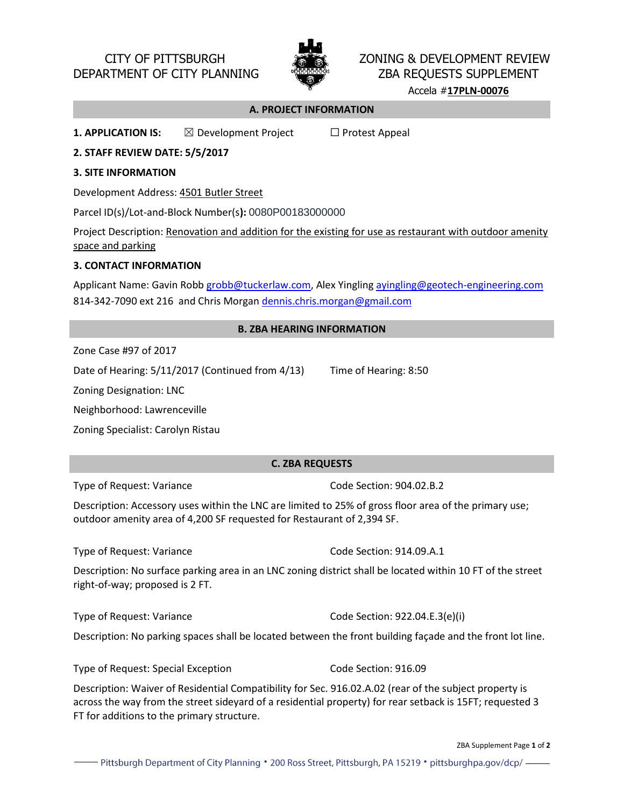

# CITY OF PITTSBURGH **ZONING & DEVELOPMENT REVIEW** DEPARTMENT OF CITY PLANNING **WEELDOG AND THE ZBA REQUESTS SUPPLEMENT**

Accela #**17PLN-00076**

### **A. PROJECT INFORMATION**

**1. APPLICATION IS:** ⊠ Development Project □ Protest Appeal

**2. STAFF REVIEW DATE: 5/5/2017**

### **3. SITE INFORMATION**

Development Address: 4501 Butler Street

Parcel ID(s)/Lot-and-Block Number(s**):** 0080P00183000000

Project Description: Renovation and addition for the existing for use as restaurant with outdoor amenity space and parking

## **3. CONTACT INFORMATION**

Applicant Name: Gavin Robb grobb@tuckerlaw.com, Alex Yingling avingling@geotech-engineering.com 814-342-7090 ext 216 and Chris Morgan dennis.chris.morgan@gmail.com

### **B. ZBA HEARING INFORMATION**

Zone Case #97 of 2017

Date of Hearing: 5/11/2017 (Continued from 4/13) Time of Hearing: 8:50

Zoning Designation: LNC

Neighborhood: Lawrenceville

Zoning Specialist: Carolyn Ristau

# **C. ZBA REQUESTS**

Type of Request: Variance Code Section: 904.02.B.2

Description: Accessory uses within the LNC are limited to 25% of gross floor area of the primary use; outdoor amenity area of 4,200 SF requested for Restaurant of 2,394 SF.

Type of Request: Variance Type of Request: Variance

Description: No surface parking area in an LNC zoning district shall be located within 10 FT of the street right-of-way; proposed is 2 FT.

Type of Request: Variance **Code Section: 922.04.E.3(e)**(i)

Description: No parking spaces shall be located between the front building façade and the front lot line.

Type of Request: Special Exception Code Section: 916.09

Description: Waiver of Residential Compatibility for Sec. 916.02.A.02 (rear of the subject property is across the way from the street sideyard of a residential property) for rear setback is 15FT; requested 3 FT for additions to the primary structure.